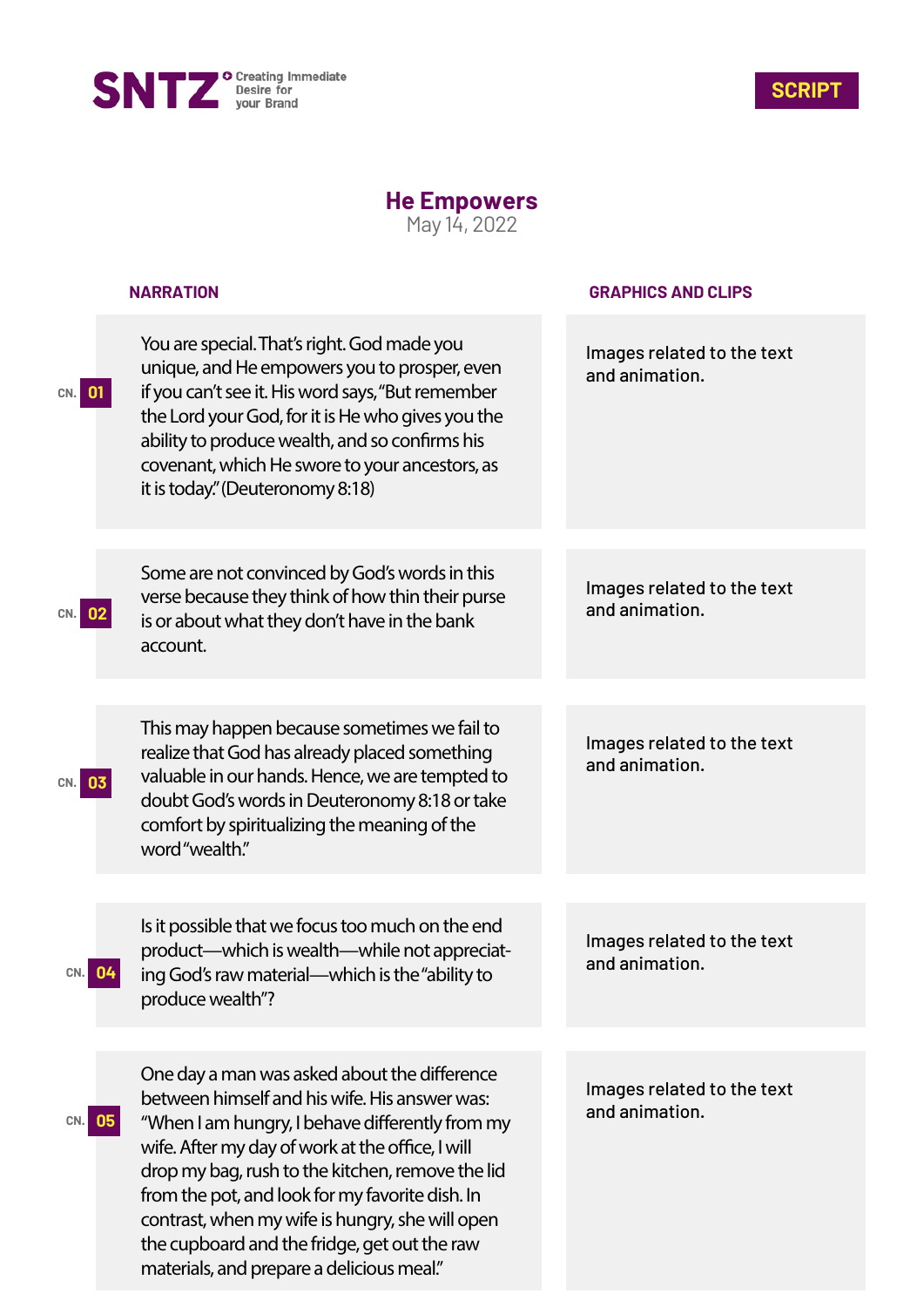



## **He Empowers**

May 14, 2022

|           | <b>NARRATION</b>                                                                                                                                                                                                                                                                                                                                                                                                                                            | <b>GRAPHICS AND CLIPS</b>                    |
|-----------|-------------------------------------------------------------------------------------------------------------------------------------------------------------------------------------------------------------------------------------------------------------------------------------------------------------------------------------------------------------------------------------------------------------------------------------------------------------|----------------------------------------------|
| CN. 01    | You are special. That's right. God made you<br>unique, and He empowers you to prosper, even<br>if you can't see it. His word says, "But remember<br>the Lord your God, for it is He who gives you the<br>ability to produce wealth, and so confirms his<br>covenant, which He swore to your ancestors, as<br>it is today." (Deuteronomy 8:18)                                                                                                               | Images related to the text<br>and animation. |
| CN. 02    | Some are not convinced by God's words in this<br>verse because they think of how thin their purse<br>is or about what they don't have in the bank<br>account.                                                                                                                                                                                                                                                                                               | Images related to the text<br>and animation. |
| 03<br>CN. | This may happen because sometimes we fail to<br>realize that God has already placed something<br>valuable in our hands. Hence, we are tempted to<br>doubt God's words in Deuteronomy 8:18 or take<br>comfort by spiritualizing the meaning of the<br>word"wealth."                                                                                                                                                                                          | Images related to the text<br>and animation. |
| CN.       | Is it possible that we focus too much on the end<br>product—which is wealth—while not appreciat-<br>ing God's raw material—which is the "ability to<br>produce wealth"?                                                                                                                                                                                                                                                                                     | Images related to the text<br>and animation. |
| 05<br>CN. | One day a man was asked about the difference<br>between himself and his wife. His answer was:<br>"When I am hungry, I behave differently from my<br>wife. After my day of work at the office, I will<br>drop my bag, rush to the kitchen, remove the lid<br>from the pot, and look for my favorite dish. In<br>contrast, when my wife is hungry, she will open<br>the cupboard and the fridge, get out the raw<br>materials, and prepare a delicious meal." | Images related to the text<br>and animation. |